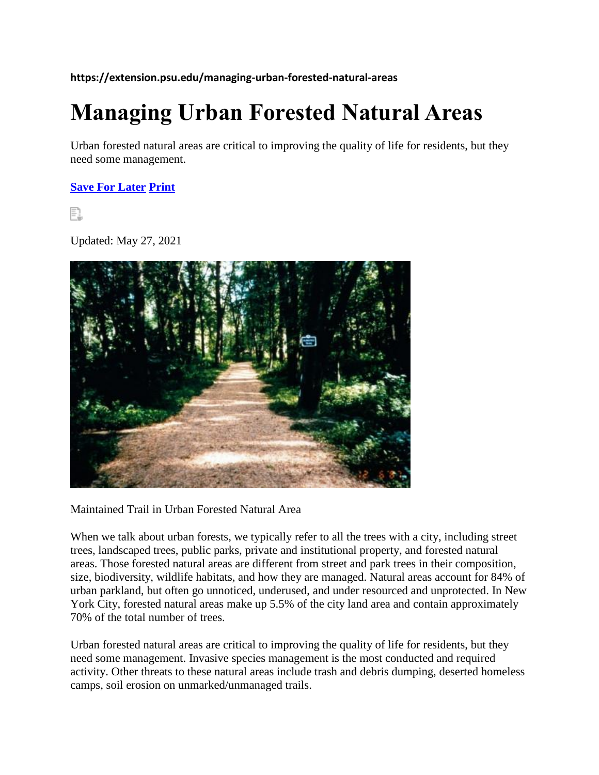**https://extension.psu.edu/managing-urban-forested-natural-areas**

# **Managing Urban Forested Natural Areas**

Urban forested natural areas are critical to improving the quality of life for residents, but they need some management.

**[Save For Later](https://extension.psu.edu/wishlist/index/add/product/33855/form_key/ZM3txvTF69YX8nz8/) [Print](javascript:void(0))**

F1

Updated: May 27, 2021



Maintained Trail in Urban Forested Natural Area

When we talk about urban forests, we typically refer to all the trees with a city, including street trees, landscaped trees, public parks, private and institutional property, and forested natural areas. Those forested natural areas are different from street and park trees in their composition, size, biodiversity, wildlife habitats, and how they are managed. Natural areas account for 84% of urban parkland, but often go unnoticed, underused, and under resourced and unprotected. In New York City, forested natural areas make up 5.5% of the city land area and contain approximately 70% of the total number of trees.

Urban forested natural areas are critical to improving the quality of life for residents, but they need some management. Invasive species management is the most conducted and required activity. Other threats to these natural areas include trash and debris dumping, deserted homeless camps, soil erosion on unmarked/unmanaged trails.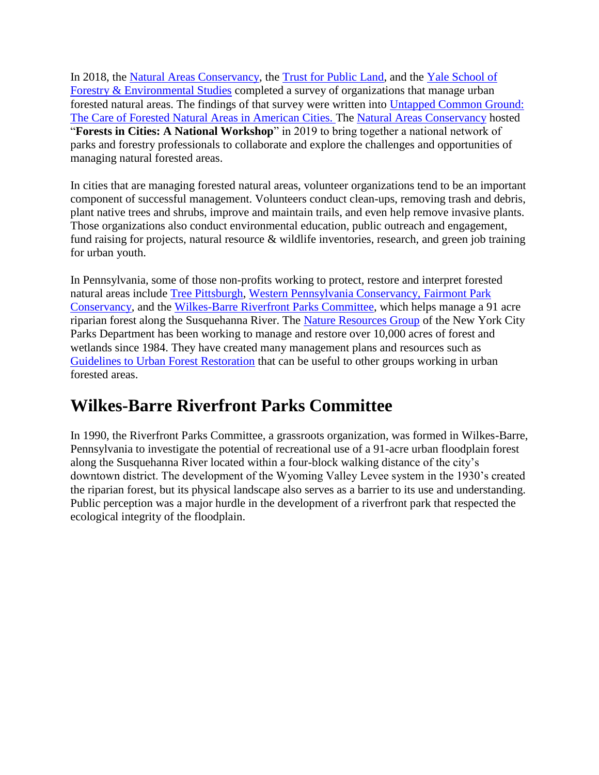In 2018, the [Natural Areas Conservancy,](https://naturalareasnyc.org/what-we-do) the [Trust for Public Land,](https://www.tpl.org/) and the [Yale School of](https://environment.yale.edu/)  [Forestry & Environmental Studies](https://environment.yale.edu/) completed a survey of organizations that manage urban forested natural areas. The findings of that survey were written into [Untapped Common Ground:](https://naturalareasnyc.org/content/national/nac_careofurbannature_lores-singles.pdf?1553522646)  [The Care of Forested Natural Areas in American Cities. T](https://naturalareasnyc.org/content/national/nac_careofurbannature_lores-singles.pdf?1553522646)he [Natural Areas Conservancy](https://naturalareasnyc.org/what-we-do) hosted "**Forests in Cities: A National Workshop**" in 2019 to bring together a national network of parks and forestry professionals to collaborate and explore the challenges and opportunities of managing natural forested areas.

In cities that are managing forested natural areas, volunteer organizations tend to be an important component of successful management. Volunteers conduct clean-ups, removing trash and debris, plant native trees and shrubs, improve and maintain trails, and even help remove invasive plants. Those organizations also conduct environmental education, public outreach and engagement, fund raising for projects, natural resource & wildlife inventories, research, and green job training for urban youth.

In Pennsylvania, some of those non-profits working to protect, restore and interpret forested natural areas include [Tree Pittsburgh,](https://www.treepittsburgh.org/resource/reforestation/) [Western Pennsylvania Conservancy, Fairmont Park](https://waterlandlife.org/gardens-greenspace/ecological-assessments/)  [Conservancy,](https://myphillypark.org/what-we-do/capital-projects/lansdowne-montgomery-creeks/) and the [Wilkes-Barre Riverfront Parks Committee,](http://riverfrontparks.org/resources-and-trail-guides.php) which helps manage a 91 acre riparian forest along the Susquehanna River. The [Nature Resources Group](https://www.nycgovparks.org/greening/natural-resources-group) of the New York City Parks Department has been working to manage and restore over 10,000 acres of forest and wetlands since 1984. They have created many management plans and resources such as [Guidelines to Urban Forest Restoration](https://www.nycgovparks.org/pagefiles/84/guidelines-to-urban-forest-restoration.pdf) that can be useful to other groups working in urban forested areas.

#### **Wilkes-Barre Riverfront Parks Committee**

In 1990, the Riverfront Parks Committee, a grassroots organization, was formed in Wilkes-Barre, Pennsylvania to investigate the potential of recreational use of a 91-acre urban floodplain forest along the Susquehanna River located within a four-block walking distance of the city's downtown district. The development of the Wyoming Valley Levee system in the 1930's created the riparian forest, but its physical landscape also serves as a barrier to its use and understanding. Public perception was a major hurdle in the development of a riverfront park that respected the ecological integrity of the floodplain.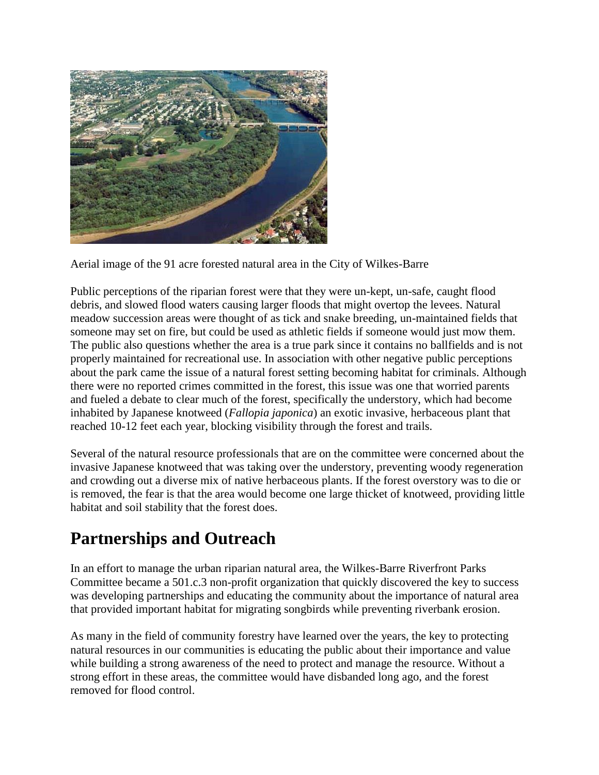

Aerial image of the 91 acre forested natural area in the City of Wilkes-Barre

Public perceptions of the riparian forest were that they were un-kept, un-safe, caught flood debris, and slowed flood waters causing larger floods that might overtop the levees. Natural meadow succession areas were thought of as tick and snake breeding, un-maintained fields that someone may set on fire, but could be used as athletic fields if someone would just mow them. The public also questions whether the area is a true park since it contains no ballfields and is not properly maintained for recreational use. In association with other negative public perceptions about the park came the issue of a natural forest setting becoming habitat for criminals. Although there were no reported crimes committed in the forest, this issue was one that worried parents and fueled a debate to clear much of the forest, specifically the understory, which had become inhabited by Japanese knotweed (*Fallopia japonica*) an exotic invasive, herbaceous plant that reached 10-12 feet each year, blocking visibility through the forest and trails.

Several of the natural resource professionals that are on the committee were concerned about the invasive Japanese knotweed that was taking over the understory, preventing woody regeneration and crowding out a diverse mix of native herbaceous plants. If the forest overstory was to die or is removed, the fear is that the area would become one large thicket of knotweed, providing little habitat and soil stability that the forest does.

### **Partnerships and Outreach**

In an effort to manage the urban riparian natural area, the Wilkes-Barre Riverfront Parks Committee became a 501.c.3 non-profit organization that quickly discovered the key to success was developing partnerships and educating the community about the importance of natural area that provided important habitat for migrating songbirds while preventing riverbank erosion.

As many in the field of community forestry have learned over the years, the key to protecting natural resources in our communities is educating the public about their importance and value while building a strong awareness of the need to protect and manage the resource. Without a strong effort in these areas, the committee would have disbanded long ago, and the forest removed for flood control.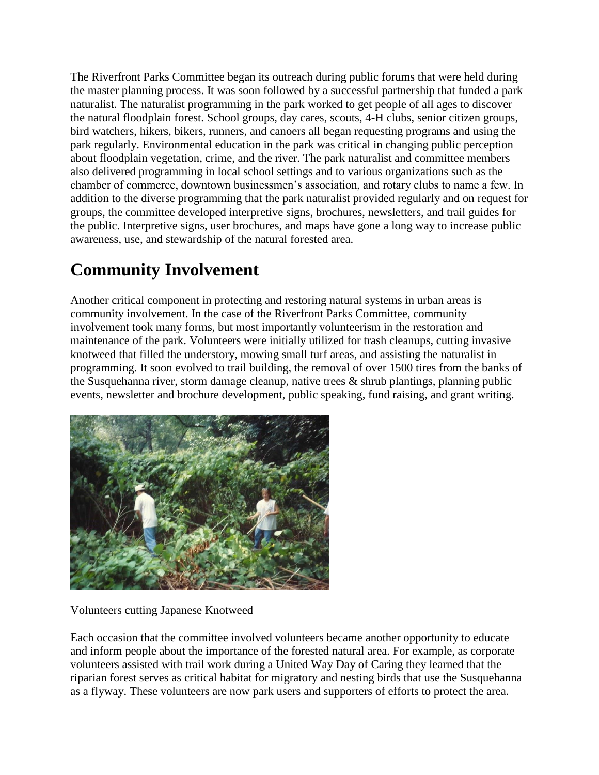The Riverfront Parks Committee began its outreach during public forums that were held during the master planning process. It was soon followed by a successful partnership that funded a park naturalist. The naturalist programming in the park worked to get people of all ages to discover the natural floodplain forest. School groups, day cares, scouts, 4-H clubs, senior citizen groups, bird watchers, hikers, bikers, runners, and canoers all began requesting programs and using the park regularly. Environmental education in the park was critical in changing public perception about floodplain vegetation, crime, and the river. The park naturalist and committee members also delivered programming in local school settings and to various organizations such as the chamber of commerce, downtown businessmen's association, and rotary clubs to name a few. In addition to the diverse programming that the park naturalist provided regularly and on request for groups, the committee developed interpretive signs, brochures, newsletters, and trail guides for the public. Interpretive signs, user brochures, and maps have gone a long way to increase public awareness, use, and stewardship of the natural forested area.

## **Community Involvement**

Another critical component in protecting and restoring natural systems in urban areas is community involvement. In the case of the Riverfront Parks Committee, community involvement took many forms, but most importantly volunteerism in the restoration and maintenance of the park. Volunteers were initially utilized for trash cleanups, cutting invasive knotweed that filled the understory, mowing small turf areas, and assisting the naturalist in programming. It soon evolved to trail building, the removal of over 1500 tires from the banks of the Susquehanna river, storm damage cleanup, native trees & shrub plantings, planning public events, newsletter and brochure development, public speaking, fund raising, and grant writing.



Volunteers cutting Japanese Knotweed

Each occasion that the committee involved volunteers became another opportunity to educate and inform people about the importance of the forested natural area. For example, as corporate volunteers assisted with trail work during a United Way Day of Caring they learned that the riparian forest serves as critical habitat for migratory and nesting birds that use the Susquehanna as a flyway. These volunteers are now park users and supporters of efforts to protect the area.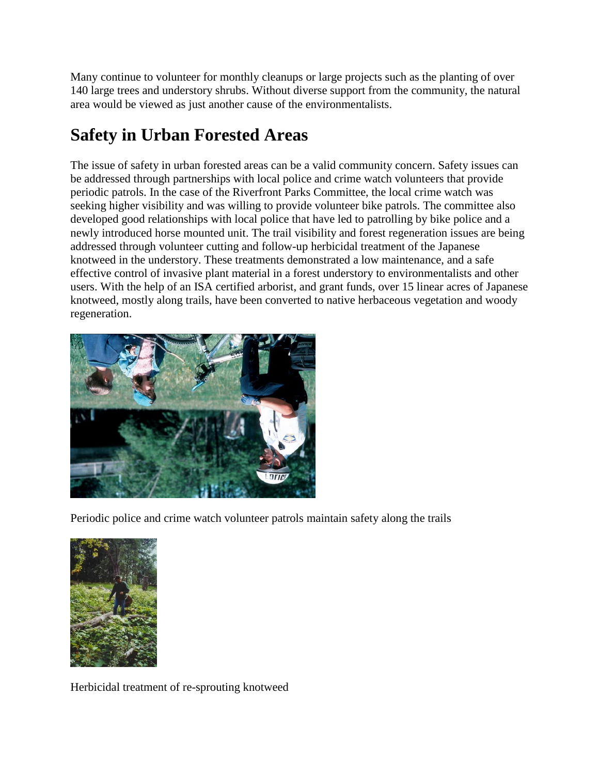Many continue to volunteer for monthly cleanups or large projects such as the planting of over 140 large trees and understory shrubs. Without diverse support from the community, the natural area would be viewed as just another cause of the environmentalists.

## **Safety in Urban Forested Areas**

The issue of safety in urban forested areas can be a valid community concern. Safety issues can be addressed through partnerships with local police and crime watch volunteers that provide periodic patrols. In the case of the Riverfront Parks Committee, the local crime watch was seeking higher visibility and was willing to provide volunteer bike patrols. The committee also developed good relationships with local police that have led to patrolling by bike police and a newly introduced horse mounted unit. The trail visibility and forest regeneration issues are being addressed through volunteer cutting and follow-up herbicidal treatment of the Japanese knotweed in the understory. These treatments demonstrated a low maintenance, and a safe effective control of invasive plant material in a forest understory to environmentalists and other users. With the help of an ISA certified arborist, and grant funds, over 15 linear acres of Japanese knotweed, mostly along trails, have been converted to native herbaceous vegetation and woody regeneration.



Periodic police and crime watch volunteer patrols maintain safety along the trails



Herbicidal treatment of re-sprouting knotweed